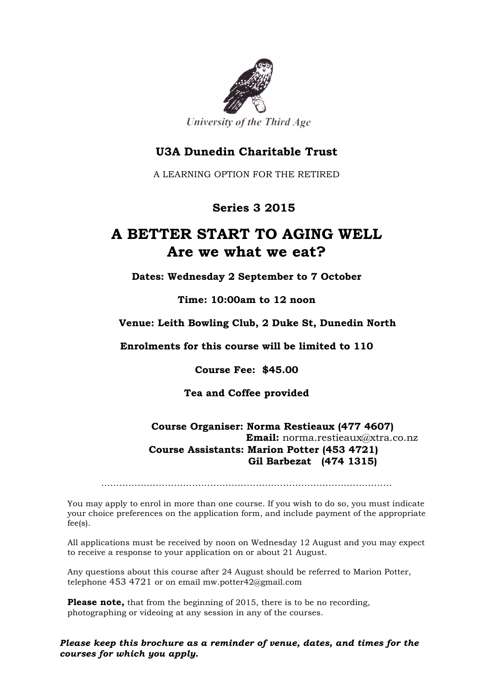

# **U3A Dunedin Charitable Trust**

A LEARNING OPTION FOR THE RETIRED

# **Series 3 2015**

# **A BETTER START TO AGING WELL Are we what we eat?**

**Dates: Wednesday 2 September to 7 October**

**Time: 10:00am to 12 noon**

### **Venue: Leith Bowling Club, 2 Duke St, Dunedin North**

#### **Enrolments for this course will be limited to 110**

**Course Fee: \$45.00**

### **Tea and Coffee provided**

#### **Course Organiser: Norma Restieaux (477 4607) Email:** norma.restieaux@xtra.co.nz  **Course Assistants: Marion Potter (453 4721) Gil Barbezat (474 1315)**

……………………………………………………………………………………

You may apply to enrol in more than one course. If you wish to do so, you must indicate your choice preferences on the application form, and include payment of the appropriate fee(s).

All applications must be received by noon on Wednesday 12 August and you may expect to receive a response to your application on or about 21 August.

Any questions about this course after 24 August should be referred to Marion Potter, telephone 453 4721 or on email mw.potter42@gmail.com

**Please note,** that from the beginning of 2015, there is to be no recording, photographing or videoing at any session in any of the courses.

*Please keep this brochure as a reminder of venue, dates, and times for the courses for which you apply.*